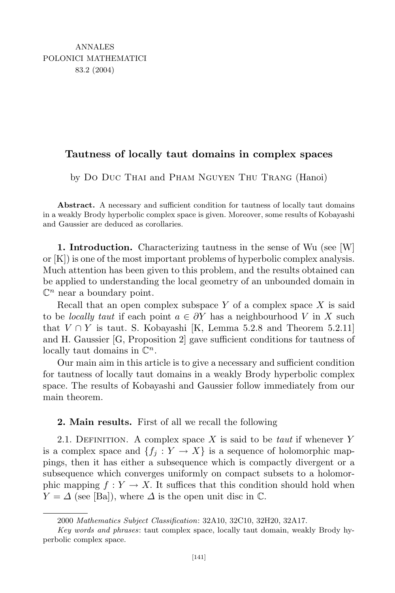## **Tautness of locally taut domains in complex spaces**

by Do Duc Thai and Pham Nguyen Thu Trang (Hanoi)

Abstract. A necessary and sufficient condition for tautness of locally taut domains in a weakly Brody hyperbolic complex space is given. Moreover, some results of Kobayashi and Gaussier are deduced as corollaries.

**1. Introduction.** Characterizing tautness in the sense of Wu (see [W] or [K]) is one of the most important problems of hyperbolic complex analysis. Much attention has been given to this problem, and the results obtained can be applied to understanding the local geometry of an unbounded domain in  $\mathbb{C}^n$  near a boundary point.

Recall that an open complex subspace *Y* of a complex space *X* is said to be *locally taut* if each point  $a \in \partial Y$  has a neighbourhood V in X such that  $V \cap Y$  is taut. S. Kobayashi [K, Lemma 5.2.8 and Theorem 5.2.11] and H. Gaussier [G, Proposition 2] gave sufficient conditions for tautness of locally taut domains in C *n.*

Our main aim in this article is to give a necessary and sufficient condition for tautness of locally taut domains in a weakly Brody hyperbolic complex space. The results of Kobayashi and Gaussier follow immediately from our main theorem.

## **2. Main results.** First of all we recall the following

2.1. Definition. A complex space *X* is said to be *taut* if whenever *Y* is a complex space and  ${f_i: Y \to X}$  is a sequence of holomorphic mappings, then it has either a subsequence which is compactly divergent or a subsequence which converges uniformly on compact subsets to a holomorphic mapping  $f: Y \to X$ . It suffices that this condition should hold when  $Y = \Delta$  (see [Ba]), where  $\Delta$  is the open unit disc in  $\mathbb{C}$ .

<sup>2000</sup> *Mathematics Subject Classification*: 32A10, 32C10, 32H20, 32A17.

*Key words and phrases*: taut complex space, locally taut domain, weakly Brody hyperbolic complex space.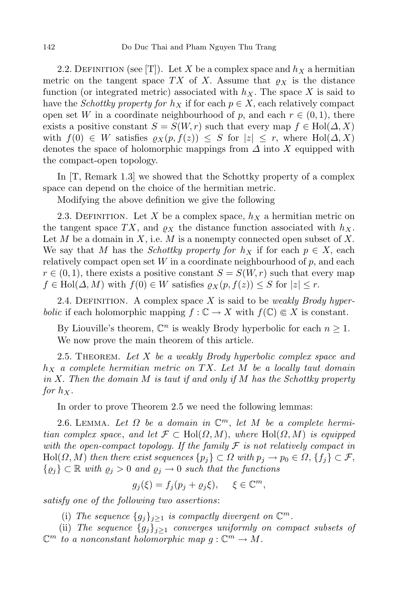2.2. DEFINITION (see [T]). Let *X* be a complex space and  $h<sub>X</sub>$  a hermitian metric on the tangent space *TX* of *X*. Assume that  $\rho_X$  is the distance function (or integrated metric) associated with *hX*. The space *X* is said to have the *Schottky property for*  $h_X$  if for each  $p \in X$ , each relatively compact open set *W* in a coordinate neighbourhood of *p*, and each  $r \in (0,1)$ , there exists a positive constant  $S = S(W, r)$  such that every map  $f \in Hol(\Delta, X)$ with  $f(0) \in W$  satisfies  $\varrho_X(p, f(z)) \leq S$  for  $|z| \leq r$ , where Hol $(\Delta, X)$ denotes the space of holomorphic mappings from *∆* into *X* equipped with the compact-open topology.

In [T, Remark 1.3] we showed that the Schottky property of a complex space can depend on the choice of the hermitian metric.

Modifying the above definition we give the following

2.3. DEFINITION. Let X be a complex space,  $h_X$  a hermitian metric on the tangent space TX, and  $\rho_X$  the distance function associated with  $h_X$ . Let  $M$  be a domain in  $X$ , i.e.  $M$  is a nonempty connected open subset of  $X$ . We say that *M* has the *Schottky* property for  $h_X$  if for each  $p \in X$ , each relatively compact open set *W* in a coordinate neighbourhood of *p*, and each  $r \in (0,1)$ , there exists a positive constant  $S = S(W,r)$  such that every map  $f \in Hol(\Delta, M)$  with  $f(0) \in W$  satisfies  $\varrho_X(p, f(z)) \leq S$  for  $|z| \leq r$ .

2.4. Definition. A complex space *X* is said to be *weakly Brody hyperbolic* if each holomorphic mapping  $f: \mathbb{C} \to X$  with  $f(\mathbb{C}) \in X$  is constant.

By Liouville's theorem,  $\mathbb{C}^n$  is weakly Brody hyperbolic for each  $n \geq 1$ . We now prove the main theorem of this article.

2.5. Theorem. *Let X be a weakly Brody hyperbolic complex space and h<sup>X</sup> a complete hermitian metric on TX. Let M be a locally taut domain in X. Then the domain M is taut if and only if M has the Schottky property for*  $h_X$ .

In order to prove Theorem 2.5 we need the following lemmas:

2.6. LEMMA. Let  $\Omega$  be a domain in  $\mathbb{C}^m$ , let  $M$  be a complete hermi*tian complex space, and let*  $\mathcal{F} \subset \text{Hol}(\Omega, M)$ *, where*  $\text{Hol}(\Omega, M)$  *is equipped with the open-compact topology. If the family F is not relatively compact in*  $\text{Hol}(\Omega, M)$  then there exist sequences  $\{p_j\} \subset \Omega$  with  $p_j \to p_0 \in \Omega$ ,  $\{f_j\} \subset \mathcal{F}$ ,  ${φ<sub>j</sub>} ⊂ ℝ with  $φ<sub>j</sub> > 0$  and  $φ<sub>j</sub> → 0$  such that the functions$ 

$$
g_j(\xi) = f_j(p_j + \varrho_j \xi), \quad \xi \in \mathbb{C}^m,
$$

*satisfy one of the following two assertions*:

(i) The sequence  ${g_j}_{j \geq 1}$  is compactly divergent on  $\mathbb{C}^m$ .

(ii) *The sequence*  ${g_i}_{i \geq 1}$  *converges uniformly on compact subsets of*  $\mathbb{C}^m$  *to a nonconstant holomorphic map*  $g: \mathbb{C}^m \to M$ .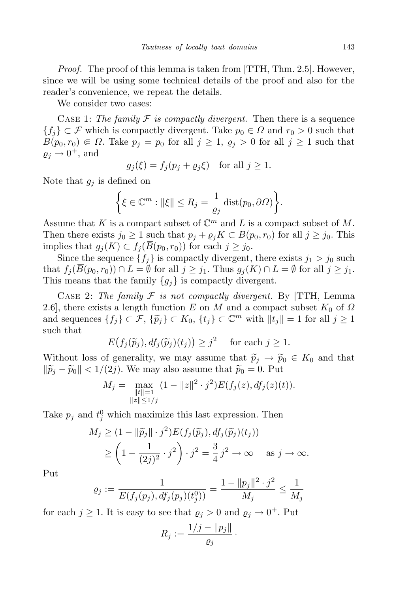*Proof.* The proof of this lemma is taken from [TTH, Thm. 2.5]. However, since we will be using some technical details of the proof and also for the reader's convenience, we repeat the details.

We consider two cases:

CASE 1: The family  $F$  is compactly divergent. Then there is a sequence *{f<sub>i</sub>*}  $\subset$  *F* which is compactly divergent. Take *p*<sup>0</sup>  $\in$  *Ω* and *r*<sup>0</sup>  $>$  0 such that *B*( $p_0, r_0$ ) ∈ *Ω*. Take  $p_j = p_0$  for all  $j \ge 1$ ,  $\varrho_j > 0$  for all  $j \ge 1$  such that  $\varrho_j \to 0^+$ , and

$$
g_j(\xi) = f_j(p_j + \varrho_j \xi) \quad \text{for all } j \ge 1.
$$

Note that *g<sup>j</sup>* is defined on

$$
\left\{ \xi \in \mathbb{C}^m : ||\xi|| \le R_j = \frac{1}{\varrho_j} \operatorname{dist}(p_0, \partial \Omega) \right\}.
$$

Assume that *K* is a compact subset of  $\mathbb{C}^m$  and *L* is a compact subset of *M*. Then there exists  $j_0 \geq 1$  such that  $p_j + \varrho_j K \subset B(p_0, r_0)$  for all  $j \geq j_0$ . This implies that  $g_j(K) \subset f_j(\overline{B}(p_0, r_0))$  for each  $j \geq j_0$ .

Since the sequence  $\{f_j\}$  is compactly divergent, there exists  $j_1 > j_0$  such that  $f_i(\overline{B}(p_0, r_0)) \cap L = \emptyset$  for all  $j \geq j_1$ . Thus  $g_j(K) \cap L = \emptyset$  for all  $j \geq j_1$ . This means that the family  ${g_j}$  is compactly divergent.

CASE 2: The family  $F$  is not compactly divergent. By [TTH, Lemma 2.6], there exists a length function *E* on *M* and a compact subset  $K_0$  of  $\Omega$ and sequences  $\{f_j\} \subset \mathcal{F}, \{\tilde{p}_j\} \subset K_0, \{t_j\} \subset \mathbb{C}^m$  with  $||t_j|| = 1$  for all  $j \ge 1$ such that

$$
E(f_j(\widetilde{p}_j), df_j(\widetilde{p}_j)(t_j)) \ge j^2
$$
 for each  $j \ge 1$ .

Without loss of generality, we may assume that  $\tilde{p}_j \rightarrow \tilde{p}_0 \in K_0$  and that  $\|\widetilde{p}_i - \widetilde{p}_0\|$  < 1/(2*j*). We may also assume that  $\widetilde{p}_0 = 0$ . Put

$$
M_j = \max_{\substack{\|t\|=1\\ \|z\| \le 1/j}} (1 - \|z\|^2 \cdot j^2) E(f_j(z), df_j(z)(t)).
$$

Take  $p_j$  and  $t_j^0$  which maximize this last expression. Then

$$
M_j \ge (1 - \|\widetilde{p}_j\| \cdot j^2) E(f_j(\widetilde{p}_j), df_j(\widetilde{p}_j)(t_j))
$$
  
 
$$
\ge \left(1 - \frac{1}{(2j)^2} \cdot j^2\right) \cdot j^2 = \frac{3}{4} j^2 \to \infty \quad \text{as } j \to \infty.
$$

Put

$$
\varrho_j := \frac{1}{E(f_j(p_j), df_j(p_j)(t_j^0))} = \frac{1 - ||p_j||^2 \cdot j^2}{M_j} \le \frac{1}{M_j}
$$

for each  $j \ge 1$ . It is easy to see that  $\varrho_j > 0$  and  $\varrho_j \to 0^+$ . Put

$$
R_j:=\frac{1/j-\|p_j\|}{\varrho_j}\,.
$$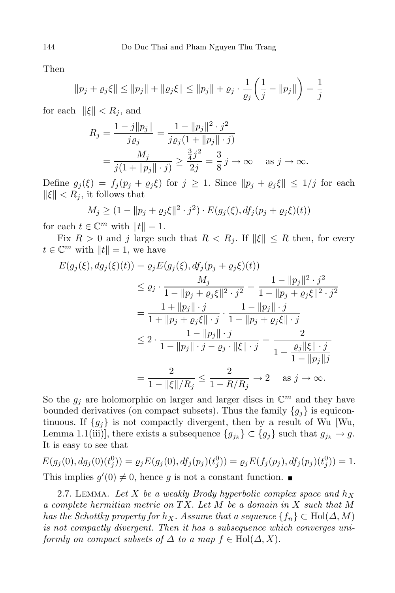Then

$$
||p_j + \varrho_j \xi|| \le ||p_j|| + ||\varrho_j \xi|| \le ||p_j|| + \varrho_j \cdot \frac{1}{\varrho_j} \left(\frac{1}{j} - ||p_j||\right) = \frac{1}{j}
$$

for each  $\|\xi\| < R_j$ , and

$$
R_j = \frac{1 - j||p_j||}{j\varrho_j} = \frac{1 - ||p_j||^2 \cdot j^2}{j\varrho_j(1 + ||p_j|| \cdot j)}
$$
  
= 
$$
\frac{M_j}{j(1 + ||p_j|| \cdot j)} \ge \frac{\frac{3}{4}j^2}{2j} = \frac{3}{8}j \to \infty \quad \text{as } j \to \infty.
$$

Define  $g_j(\xi) = f_j(p_j + \varrho_j \xi)$  for  $j \geq 1$ . Since  $||p_j + \varrho_j \xi|| \leq 1/j$  for each  $\|\xi\| < R_i$ , it follows that

$$
M_j \ge (1 - \|p_j + \varrho_j \xi\|^2 \cdot j^2) \cdot E(g_j(\xi), df_j(p_j + \varrho_j \xi)(t))
$$
  
6. C<sup>m</sup> with  $||t|| = 1$ 

for each  $t \in \mathbb{C}^m$  with  $||t|| = 1$ .

Fix  $R > 0$  and *j* large such that  $R < R_j$ . If  $\|\xi\| \le R$  then, for every  $t \in \mathbb{C}^m$  with  $||t|| = 1$ , we have

$$
E(g_j(\xi), dg_j(\xi)(t)) = \varrho_j E(g_j(\xi), df_j(p_j + \varrho_j \xi)(t))
$$
  
\n
$$
\leq \varrho_j \cdot \frac{M_j}{1 - ||p_j + \varrho_j \xi||^2 \cdot j^2} = \frac{1 - ||p_j||^2 \cdot j^2}{1 - ||p_j + \varrho_j \xi||^2 \cdot j^2}
$$
  
\n
$$
= \frac{1 + ||p_j|| \cdot j}{1 + ||p_j + \varrho_j \xi|| \cdot j} \cdot \frac{1 - ||p_j|| \cdot j}{1 - ||p_j + \varrho_j \xi|| \cdot j}
$$
  
\n
$$
\leq 2 \cdot \frac{1 - ||p_j|| \cdot j}{1 - ||p_j|| \cdot j - \varrho_j \cdot ||\xi|| \cdot j} = \frac{2}{1 - \frac{\varrho_j ||\xi|| \cdot j}{1 - ||p_j||j}}
$$
  
\n
$$
= \frac{2}{1 - ||\xi||/R_j} \leq \frac{2}{1 - R/R_j} \to 2 \text{ as } j \to \infty.
$$

So the  $g_j$  are holomorphic on larger and larger discs in  $\mathbb{C}^m$  and they have bounded derivatives (on compact subsets). Thus the family  ${g_i}$  is equicontinuous. If  ${g_j}$  is not compactly divergent, then by a result of Wu [Wu, Lemma 1.1(iii)], there exists a subsequence  ${g_{j_k}} \subset {g_j}$  such that  $g_{j_k} \to g$ . It is easy to see that

$$
E(g_j(0), dg_j(0)(t_j^0)) = \varrho_j E(g_j(0), df_j(p_j)(t_j^0)) = \varrho_j E(f_j(p_j), df_j(p_j)(t_j^0)) = 1.
$$
  
This implies  $g'(0) \neq 0$ , hence  $g$  is not a constant function.

2.7. LEMMA. Let X be a weakly Brody hyperbolic complex space and  $h_X$ *a complete hermitian metric on TX. Let M be a domain in X such that M has the Schottky property for*  $h_X$ *. Assume that a sequence*  $\{f_n\} \subset \text{Hol}(\Delta, M)$ *is not compactly divergent. Then it has a subsequence which converges uniformly on compact subsets of*  $\Delta$  *to a map*  $f \in Hol(\Delta, X)$ *.*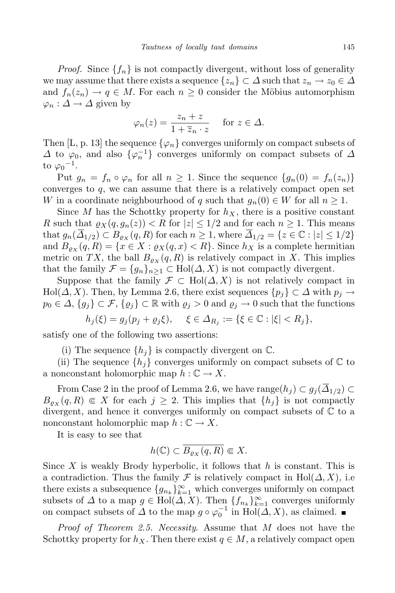*Proof.* Since  ${f_n}$  is not compactly divergent, without loss of generality we may assume that there exists a sequence  $\{z_n\} \subset \Delta$  such that  $z_n \to z_0 \in \Delta$ and  $f_n(z_n) \to q \in M$ . For each  $n \geq 0$  consider the Möbius automorphism  $\varphi_n$  :  $\Delta$  →  $\Delta$  given by

$$
\varphi_n(z) = \frac{z_n + z}{1 + \overline{z}_n \cdot z} \quad \text{for } z \in \Delta.
$$

Then [L, p. 13] the sequence  $\{\varphi_n\}$  converges uniformly on compact subsets of  $\Delta$  to  $\varphi_0$ , and also  $\{\varphi_n^{-1}\}$  converges uniformly on compact subsets of  $\Delta$ to  $\varphi_0$ <sup>-1</sup>.

Put  $g_n = f_n \circ \varphi_n$  for all  $n \geq 1$ . Since the sequence  $\{g_n(0) = f_n(z_n)\}$ converges to *q*, we can assume that there is a relatively compact open set *W* in a coordinate neighbourhood of *q* such that  $g_n(0) \in W$  for all  $n \geq 1$ .

Since *M* has the Schottky property for  $h<sub>X</sub>$ , there is a positive constant *R* such that  $\varrho_X(q, g_n(z)) < R$  for  $|z| \leq 1/2$  and for each  $n \geq 1$ . This means that  $g_n(\overline{\Delta}_{1/2}) \subset B_{\varrho_X}(q, R)$  for each  $n \geq 1$ , where  $\overline{\Delta}_{1/2} = \{z \in \mathbb{C} : |z| \leq 1/2\}$ and  $B_{\rho_X}(q, R) = \{x \in X : \rho_X(q, x) < R\}$ . Since  $h_X$  is a complete hermitian metric on *TX*, the ball  $B_{\rho_X}(q, R)$  is relatively compact in *X*. This implies that the family  $\mathcal{F} = \{g_n\}_{n>1} \subset \text{Hol}(\Delta, X)$  is not compactly divergent.

Suppose that the family  $\mathcal{F} \subset Hol(\Delta, X)$  is not relatively compact in  $\text{Hol}(\Delta, X)$ . Then, by Lemma 2.6, there exist sequences  $\{p_i\} \subset \Delta$  with  $p_i \to \Delta$  $p_0 \in \Delta$ ,  $\{g_j\} \subset \mathcal{F}$ ,  $\{g_j\} \subset \mathbb{R}$  with  $g_j > 0$  and  $g_j \to 0$  such that the functions

$$
h_j(\xi) = g_j(p_j + \varrho_j \xi), \quad \xi \in \Delta_{R_j} := {\xi \in \mathbb{C} : |\xi| < R_j},
$$

satisfy one of the following two assertions:

(i) The sequence  $\{h_i\}$  is compactly divergent on  $\mathbb{C}$ .

(ii) The sequence  $\{h_i\}$  converges uniformly on compact subsets of  $\mathbb C$  to a nonconstant holomorphic map  $h: \mathbb{C} \to X$ .

From Case 2 in the proof of Lemma 2.6, we have  $\text{range}(h_i) \subset g_i(\overline{\Delta}_{1/2}) \subset$  $B_{\rho_X}(q, R) \in X$  for each  $j \geq 2$ . This implies that  $\{h_j\}$  is not compactly divergent, and hence it converges uniformly on compact subsets of  $\mathbb C$  to a nonconstant holomorphic map  $h: \mathbb{C} \to X$ .

It is easy to see that

$$
h(\mathbb{C}) \subset \overline{B_{\varrho_X}(q, R)} \Subset X.
$$

Since *X* is weakly Brody hyperbolic, it follows that *h* is constant. This is a contradiction. Thus the family  $\mathcal F$  is relatively compact in Hol( $\Delta$ ,  $X$ ), i.e. there exists a subsequence  ${g_{n_k}}_{k=1}^{\infty}$  which converges uniformly on compact subsets of  $\Delta$  to a map  $g \in Hol(\Delta, X)$ . Then  $\{f_{n_k}\}_{k=1}^{\infty}$  converges uniformly on compact subsets of  $\Delta$  to the map  $g \circ \varphi_0^{-1}$  in Hol( $\Delta$ , X), as claimed.

*Proof of Theorem 2.5. Necessity*. Assume that *M* does not have the Schottky property for  $h_X$ . Then there exist  $q \in M$ , a relatively compact open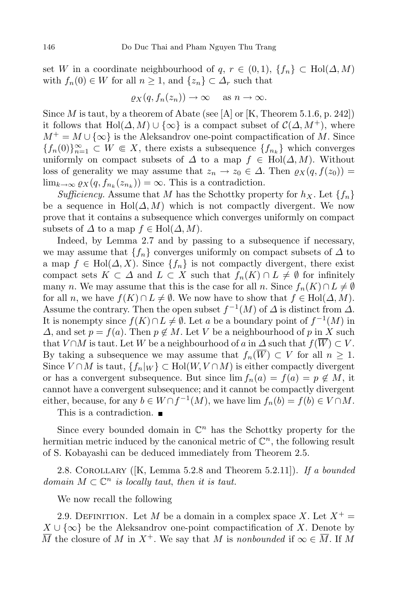set *W* in a coordinate neighbourhood of  $q, r \in (0,1), \{f_n\} \subset \text{Hol}(\Delta, M)$ with  $f_n(0) \in W$  for all  $n \geq 1$ , and  $\{z_n\} \subset \Delta_r$  such that

$$
\varrho_X(q, f_n(z_n)) \to \infty \quad \text{as } n \to \infty.
$$

Since  $M$  is taut, by a theorem of Abate (see [A] or [K, Theorem 5.1.6, p. 242]) it follows that Hol $(\Delta, M) \cup {\infty}$  is a compact subset of  $C(\Delta, M^+)$ , where  $M^+ = M \cup \{\infty\}$  is the Aleksandrov one-point compactification of *M*. Since *{f*<sub>*n*</sub>(0)}<sup>∞</sup><sub>*n*=1</sub> ⊂ *W*  $\in$  *X*, there exists a subsequence  ${f_{n_k}}$ } which converges uniformly on compact subsets of  $\Delta$  to a map  $f \in Hol(\Delta, M)$ . Without loss of generality we may assume that  $z_n \to z_0 \in \Delta$ . Then  $\varrho_X(q, f(z_0)) =$  $\lim_{k \to \infty} \varrho_X(q, f_{n_k}(z_{n_k})) = \infty$ . This is a contradiction.

*Sufficiency*. Assume that *M* has the Schottky property for  $h_X$ . Let  $\{f_n\}$ be a sequence in Hol $(\Delta, M)$  which is not compactly divergent. We now prove that it contains a subsequence which converges uniformly on compact subsets of  $\Delta$  to a map  $f \in Hol(\Delta, M)$ .

Indeed, by Lemma 2.7 and by passing to a subsequence if necessary, we may assume that  ${f_n}$  converges uniformly on compact subsets of  $\Delta$  to a map  $f \in Hol(\Delta, X)$ . Since  $\{f_n\}$  is not compactly divergent, there exist compact sets  $K \subset \Delta$  and  $L \subset X$  such that  $f_n(K) \cap L \neq \emptyset$  for infinitely many *n*. We may assume that this is the case for all *n*. Since  $f_n(K) \cap L \neq \emptyset$ for all *n*, we have  $f(K) \cap L \neq \emptyset$ . We now have to show that  $f \in Hol(\Delta, M)$ . Assume the contrary. Then the open subset  $f^{-1}(M)$  of  $\Delta$  is distinct from  $\Delta$ . It is nonempty since  $f(K) \cap L \neq \emptyset$ . Let *a* be a boundary point of  $f^{-1}(M)$  in *∆*, and set  $p = f(a)$ . Then  $p \notin M$ . Let *V* be a neighbourhood of *p* in *X* such that *V* ∩*M* is taut. Let *W* be a neighbourhood of *a* in  $\Delta$  such that  $f(\overline{W}) \subset V$ . By taking a subsequence we may assume that  $f_n(\overline{W}) \subset V$  for all  $n \geq 1$ . Since  $V \cap M$  is taut,  $\{f_n|_W\} \subset \text{Hol}(W, V \cap M)$  is either compactly divergent or has a convergent subsequence. But since  $\lim f_n(a) = f(a) = p \notin M$ , it cannot have a convergent subsequence; and it cannot be compactly divergent either, because, for any  $b \in W \cap f^{-1}(M)$ , we have  $\lim f_n(b) = f(b) \in V \cap M$ .

This is a contradiction.

Since every bounded domain in  $\mathbb{C}^n$  has the Schottky property for the hermitian metric induced by the canonical metric of  $\mathbb{C}^n$ , the following result of S. Kobayashi can be deduced immediately from Theorem 2.5.

2.8. Corollary ([K, Lemma 5.2.8 and Theorem 5.2.11]). *If a bounded domain*  $M \subset \mathbb{C}^n$  *is locally taut, then it is taut.* 

We now recall the following

2.9. DEFINITION. Let *M* be a domain in a complex space *X*. Let  $X^+$  = *X* ∪  $\{\infty\}$  be the Aleksandrov one-point compactification of *X*. Denote by  $\overline{M}$  the closure of *M* in  $X^+$ . We say that *M* is *nonbounded* if  $\infty \in \overline{M}$ . If *M*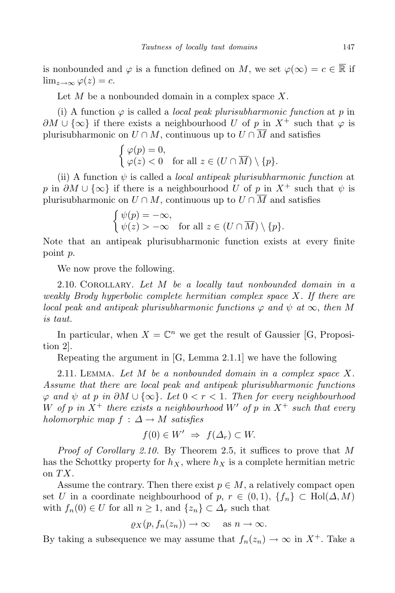is nonbounded and  $\varphi$  is a function defined on *M*, we set  $\varphi(\infty) = c \in \mathbb{R}$  if  $\lim_{z\to\infty}\varphi(z)=c.$ 

Let *M* be a nonbounded domain in a complex space *X*.

(i) A function  $\varphi$  is called a *local peak plurisubharmonic function* at *p* in *∂M*  $\cup$  {∞} if there exists a neighbourhood *U* of *p* in  $X^+$  such that  $\varphi$  is plurisubharmonic on  $U \cap M$ , continuous up to  $U \cap \overline{M}$  and satisfies

$$
\begin{cases} \varphi(p) = 0, \\ \varphi(z) < 0 \quad \text{for all } z \in (U \cap \overline{M}) \setminus \{p\}. \end{cases}
$$

(ii) A function *ψ* is called a *local antipeak plurisubharmonic function* at *p* in  $\partial M \cup \{\infty\}$  if there is a neighbourhood *U* of *p* in  $X^+$  such that  $\psi$  is plurisubharmonic on  $U \cap M$ , continuous up to  $U \cap \overline{M}$  and satisfies

$$
\begin{cases} \psi(p) = -\infty, \\ \psi(z) > -\infty \quad \text{for all } z \in (U \cap \overline{M}) \setminus \{p\}. \end{cases}
$$

Note that an antipeak plurisubharmonic function exists at every finite point *p*.

We now prove the following.

2.10. Corollary. *Let M be a locally taut nonbounded domain in a weakly Brody hyperbolic complete hermitian complex space X. If there are local peak* and *antipeak plurisubharmonic functions*  $\varphi$  *and*  $\psi$  *at*  $\infty$ *, then M is taut.*

In particular, when  $X = \mathbb{C}^n$  we get the result of Gaussier [G, Proposition 2].

Repeating the argument in [G, Lemma 2.1.1] we have the following

2.11. Lemma. *Let M be a nonbounded domain in a complex space X. Assume that there are local peak and antipeak plurisubharmonic functions ϕ and ψ at p in ∂M ∪ {∞}. Let* 0 *< r <* 1*. Then for every neighbourhood W* of *p* in  $X^+$  there exists a neighbourhood  $W'$  of *p* in  $X^+$  such that every *holomorphic map*  $f : \Delta \rightarrow M$  *satisfies* 

$$
f(0) \in W' \implies f(\Delta_r) \subset W.
$$

*Proof of Corollary 2.10.* By Theorem 2.5, it suffices to prove that *M* has the Schottky property for  $h_X$ , where  $h_X$  is a complete hermitian metric on *TX*.

Assume the contrary. Then there exist  $p \in M$ , a relatively compact open set *U* in a coordinate neighbourhood of *p*,  $r \in (0,1)$ ,  $\{f_n\} \subset \text{Hol}(\Delta, M)$ with  $f_n(0) \in U$  for all  $n \geq 1$ , and  $\{z_n\} \subset \Delta_r$  such that

$$
\varrho_X(p, f_n(z_n)) \to \infty \quad \text{as } n \to \infty.
$$

By taking a subsequence we may assume that  $f_n(z_n) \to \infty$  in  $X^+$ . Take a